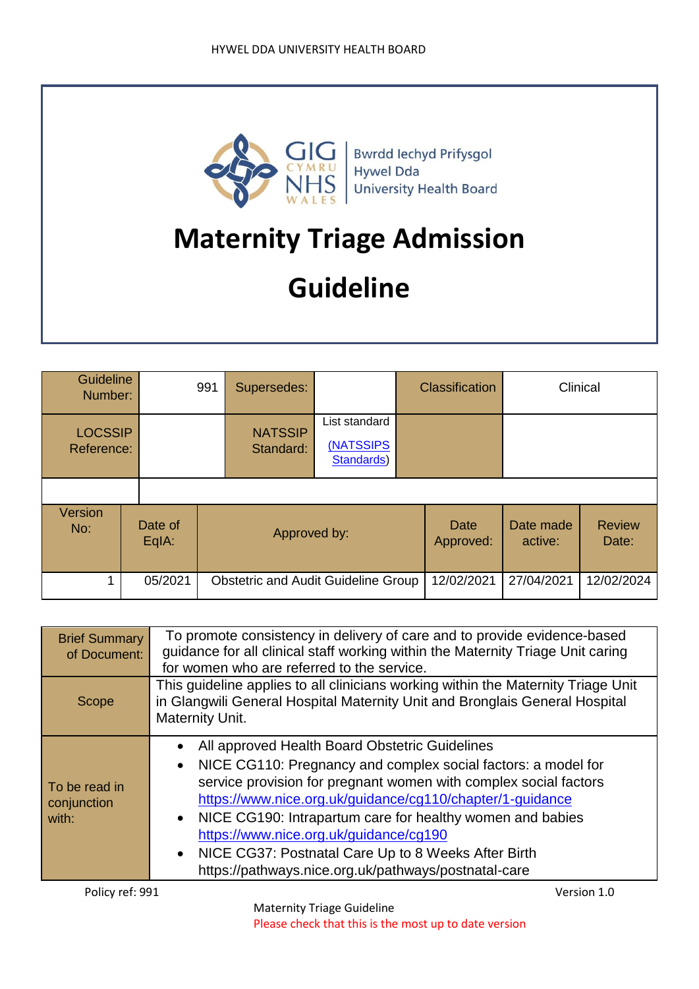

Bwrdd Iechyd Prifysgol<br>Hywel Dda University Health Board

# **Maternity Triage Admission**

# **Guideline**

| <b>Guideline</b><br>Number:  |  | 991              | Supersedes:                                |                             | <b>Classification</b>                    |                   | Clinical             |                        |
|------------------------------|--|------------------|--------------------------------------------|-----------------------------|------------------------------------------|-------------------|----------------------|------------------------|
| <b>LOCSSIP</b><br>Reference: |  |                  |                                            | <b>NATSSIP</b><br>Standard: | List standard<br>(NATSSIPS<br>Standards) |                   |                      |                        |
| Version<br>No:               |  | Date of<br>EqIA: |                                            | Approved by:                |                                          | Date<br>Approved: | Date made<br>active: | <b>Review</b><br>Date: |
|                              |  | 05/2021          | <b>Obstetric and Audit Guideline Group</b> |                             |                                          | 12/02/2021        | 27/04/2021           | 12/02/2024             |

| <b>Brief Summary</b><br>of Document:  | To promote consistency in delivery of care and to provide evidence-based<br>guidance for all clinical staff working within the Maternity Triage Unit caring<br>for women who are referred to the service.                                                                                                                                                                                                                                                                  |  |  |  |  |
|---------------------------------------|----------------------------------------------------------------------------------------------------------------------------------------------------------------------------------------------------------------------------------------------------------------------------------------------------------------------------------------------------------------------------------------------------------------------------------------------------------------------------|--|--|--|--|
|                                       |                                                                                                                                                                                                                                                                                                                                                                                                                                                                            |  |  |  |  |
| Scope                                 | This guideline applies to all clinicians working within the Maternity Triage Unit<br>in Glangwili General Hospital Maternity Unit and Bronglais General Hospital<br>Maternity Unit.                                                                                                                                                                                                                                                                                        |  |  |  |  |
| To be read in<br>conjunction<br>with: | All approved Health Board Obstetric Guidelines<br>NICE CG110: Pregnancy and complex social factors: a model for<br>service provision for pregnant women with complex social factors<br>https://www.nice.org.uk/guidance/cg110/chapter/1-guidance<br>• NICE CG190: Intrapartum care for healthy women and babies<br>https://www.nice.org.uk/guidance/cg190<br>• NICE CG37: Postnatal Care Up to 8 Weeks After Birth<br>https://pathways.nice.org.uk/pathways/postnatal-care |  |  |  |  |
| Policy ref: 991                       | Version 1.0                                                                                                                                                                                                                                                                                                                                                                                                                                                                |  |  |  |  |

Maternity Triage Guideline Please check that this is the most up to date version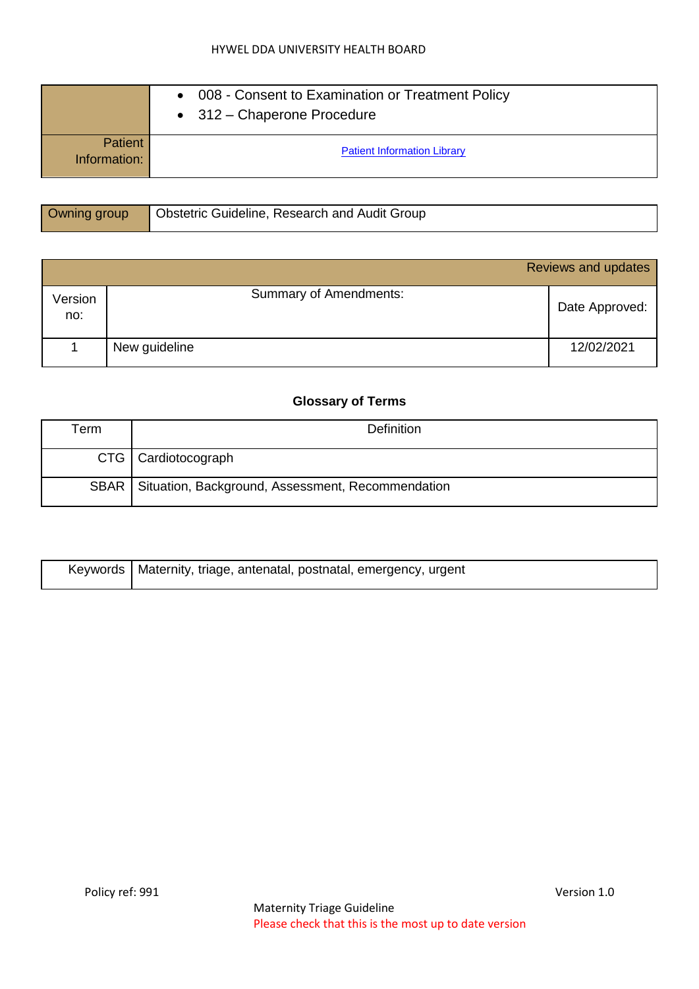#### HYWEL DDA UNIVERSITY HEALTH BOARD

|                                | • 008 - Consent to Examination or Treatment Policy<br>$\bullet$ 312 – Chaperone Procedure |  |  |  |
|--------------------------------|-------------------------------------------------------------------------------------------|--|--|--|
| <b>Patient</b><br>Information: | <b>Patient Information Library</b>                                                        |  |  |  |

| Owning group | <b>Obstetric Guideline, Research and Audit Group</b> |
|--------------|------------------------------------------------------|
|              |                                                      |

|                |                               | Reviews and updates |
|----------------|-------------------------------|---------------------|
| Version<br>no: | <b>Summary of Amendments:</b> | Date Approved:      |
|                | New guideline                 | 12/02/2021          |

#### **Glossary of Terms**

| $\mathsf{r}_{\mathsf{erm}}$ | <b>Definition</b>                                        |  |  |
|-----------------------------|----------------------------------------------------------|--|--|
|                             | CTG   Cardiotocograph                                    |  |  |
|                             | SBAR   Situation, Background, Assessment, Recommendation |  |  |

| Keywords   Maternity, triage, antenatal, postnatal, emergency, urgent |
|-----------------------------------------------------------------------|
|                                                                       |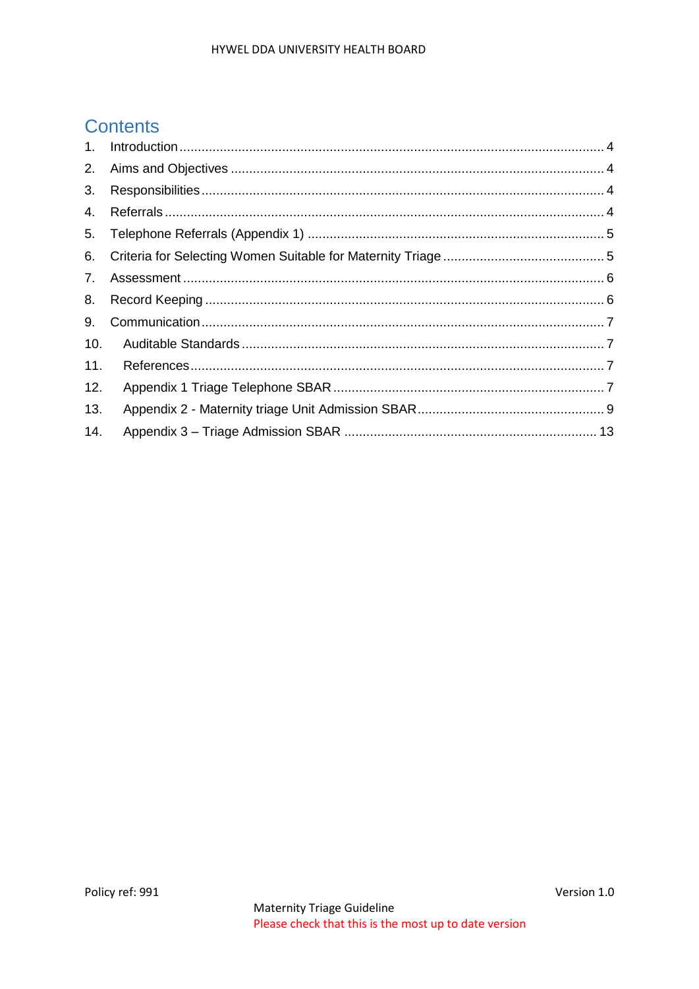# **Contents**

| 1.  |  |
|-----|--|
| 2.  |  |
| 3.  |  |
| 4.  |  |
| 5.  |  |
| 6.  |  |
| 7.  |  |
| 8.  |  |
| 9.  |  |
| 10. |  |
| 11. |  |
| 12. |  |
| 13. |  |
| 14. |  |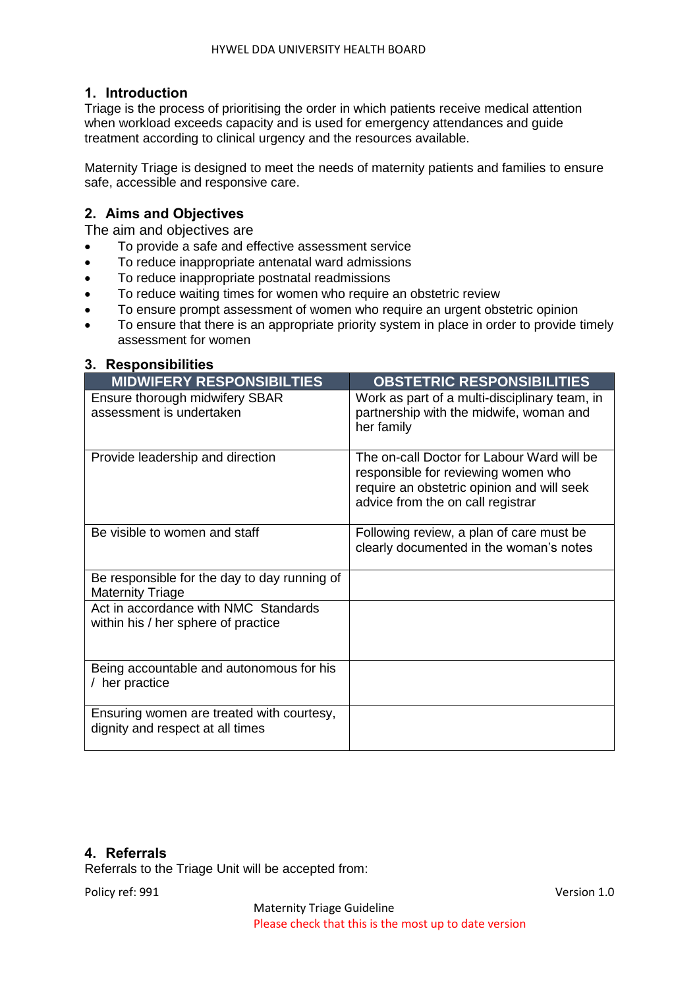#### <span id="page-3-0"></span>**1. Introduction**

Triage is the process of prioritising the order in which patients receive medical attention when workload exceeds capacity and is used for emergency attendances and guide treatment according to clinical urgency and the resources available.

Maternity Triage is designed to meet the needs of maternity patients and families to ensure safe, accessible and responsive care.

#### <span id="page-3-1"></span>**2. Aims and Objectives**

The aim and objectives are

- To provide a safe and effective assessment service
- To reduce inappropriate antenatal ward admissions
- To reduce inappropriate postnatal readmissions
- To reduce waiting times for women who require an obstetric review
- To ensure prompt assessment of women who require an urgent obstetric opinion
- To ensure that there is an appropriate priority system in place in order to provide timely assessment for women

#### <span id="page-3-2"></span>**3. Responsibilities**

| <b>MIDWIFERY RESPONSIBILTIES</b>                                              | <b>OBSTETRIC RESPONSIBILITIES</b>                                                                                                                                    |
|-------------------------------------------------------------------------------|----------------------------------------------------------------------------------------------------------------------------------------------------------------------|
| Ensure thorough midwifery SBAR<br>assessment is undertaken                    | Work as part of a multi-disciplinary team, in<br>partnership with the midwife, woman and<br>her family                                                               |
| Provide leadership and direction                                              | The on-call Doctor for Labour Ward will be<br>responsible for reviewing women who<br>require an obstetric opinion and will seek<br>advice from the on call registrar |
| Be visible to women and staff                                                 | Following review, a plan of care must be<br>clearly documented in the woman's notes                                                                                  |
| Be responsible for the day to day running of<br><b>Maternity Triage</b>       |                                                                                                                                                                      |
| Act in accordance with NMC Standards<br>within his / her sphere of practice   |                                                                                                                                                                      |
| Being accountable and autonomous for his<br>/ her practice                    |                                                                                                                                                                      |
| Ensuring women are treated with courtesy,<br>dignity and respect at all times |                                                                                                                                                                      |

#### <span id="page-3-3"></span>**4. Referrals**

Referrals to the Triage Unit will be accepted from:

Policy ref: 991 Version 1.0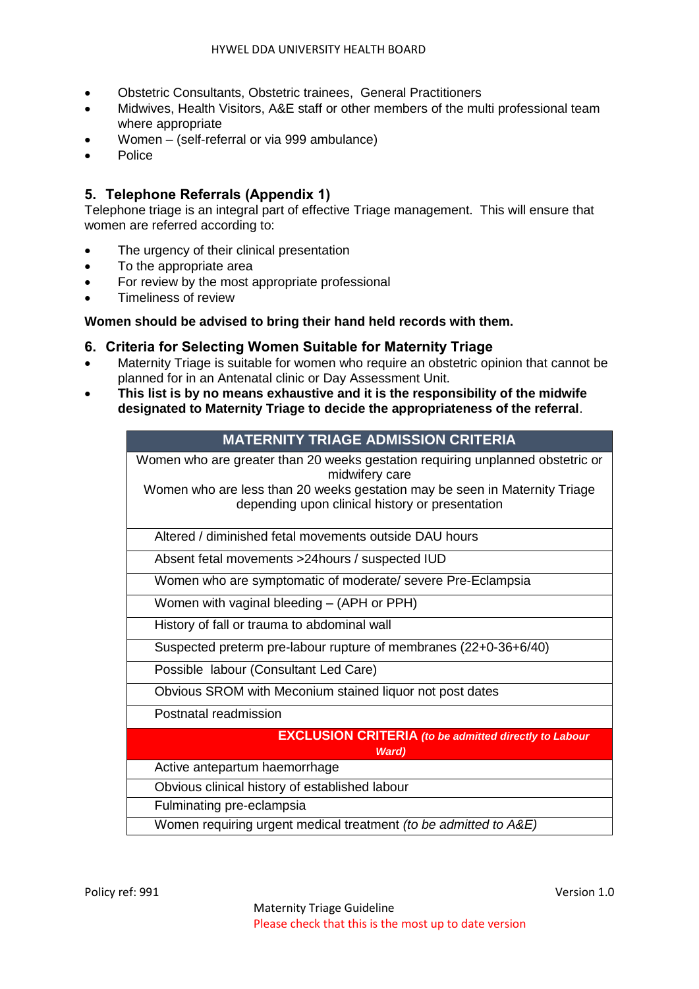- Obstetric Consultants, Obstetric trainees, General Practitioners
- Midwives, Health Visitors, A&E staff or other members of the multi professional team where appropriate
- Women (self-referral or via 999 ambulance)
- **Police**

#### <span id="page-4-0"></span>**5. Telephone Referrals (Appendix 1)**

Telephone triage is an integral part of effective Triage management. This will ensure that women are referred according to:

- The urgency of their clinical presentation
- To the appropriate area
- For review by the most appropriate professional
- Timeliness of review

#### **Women should be advised to bring their hand held records with them.**

#### <span id="page-4-1"></span>**6. Criteria for Selecting Women Suitable for Maternity Triage**

- Maternity Triage is suitable for women who require an obstetric opinion that cannot be planned for in an Antenatal clinic or Day Assessment Unit.
- **This list is by no means exhaustive and it is the responsibility of the midwife designated to Maternity Triage to decide the appropriateness of the referral**.

#### **MATERNITY TRIAGE ADMISSION CRITERIA**

Women who are greater than 20 weeks gestation requiring unplanned obstetric or midwifery care

Women who are less than 20 weeks gestation may be seen in Maternity Triage depending upon clinical history or presentation

Altered / diminished fetal movements outside DAU hours

Absent fetal movements >24hours / suspected IUD

Women who are symptomatic of moderate/ severe Pre-Eclampsia

Women with vaginal bleeding – (APH or PPH)

History of fall or trauma to abdominal wall

Suspected preterm pre-labour rupture of membranes (22+0-36+6/40)

Possible labour (Consultant Led Care)

Obvious SROM with Meconium stained liquor not post dates

Postnatal readmission

# **EXCLUSION CRITERIA** *(to be admitted directly to Labour Ward)* Active antepartum haemorrhage Obvious clinical history of established labour Fulminating pre-eclampsia

Women requiring urgent medical treatment *(to be admitted to A&E)*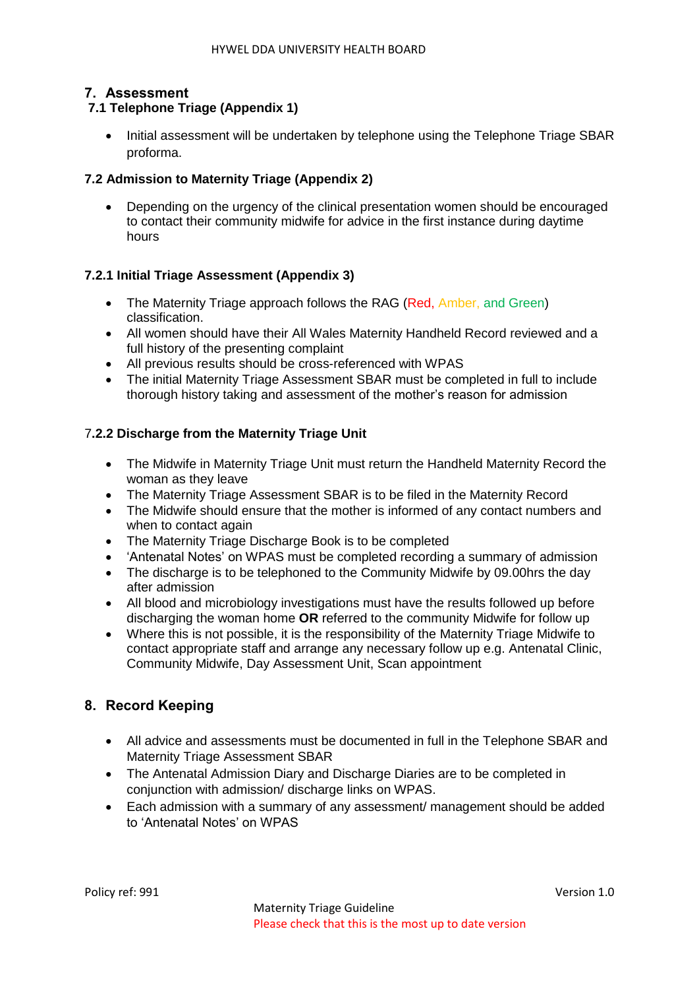#### <span id="page-5-0"></span>**7. Assessment**

#### **7.1 Telephone Triage (Appendix 1)**

 Initial assessment will be undertaken by telephone using the Telephone Triage SBAR proforma.

#### **7.2 Admission to Maternity Triage (Appendix 2)**

 Depending on the urgency of the clinical presentation women should be encouraged to contact their community midwife for advice in the first instance during daytime hours

#### **7.2.1 Initial Triage Assessment (Appendix 3)**

- The Maternity Triage approach follows the RAG (Red, Amber, and Green) classification.
- All women should have their All Wales Maternity Handheld Record reviewed and a full history of the presenting complaint
- All previous results should be cross-referenced with WPAS
- The initial Maternity Triage Assessment SBAR must be completed in full to include thorough history taking and assessment of the mother's reason for admission

#### 7**.2.2 Discharge from the Maternity Triage Unit**

- The Midwife in Maternity Triage Unit must return the Handheld Maternity Record the woman as they leave
- The Maternity Triage Assessment SBAR is to be filed in the Maternity Record
- The Midwife should ensure that the mother is informed of any contact numbers and when to contact again
- The Maternity Triage Discharge Book is to be completed
- 'Antenatal Notes' on WPAS must be completed recording a summary of admission
- The discharge is to be telephoned to the Community Midwife by 09,00 hrs the day after admission
- All blood and microbiology investigations must have the results followed up before discharging the woman home **OR** referred to the community Midwife for follow up
- Where this is not possible, it is the responsibility of the Maternity Triage Midwife to contact appropriate staff and arrange any necessary follow up e.g. Antenatal Clinic, Community Midwife, Day Assessment Unit, Scan appointment

#### <span id="page-5-1"></span>**8. Record Keeping**

- All advice and assessments must be documented in full in the Telephone SBAR and Maternity Triage Assessment SBAR
- The Antenatal Admission Diary and Discharge Diaries are to be completed in conjunction with admission/ discharge links on WPAS.
- Each admission with a summary of any assessment/ management should be added to 'Antenatal Notes' on WPAS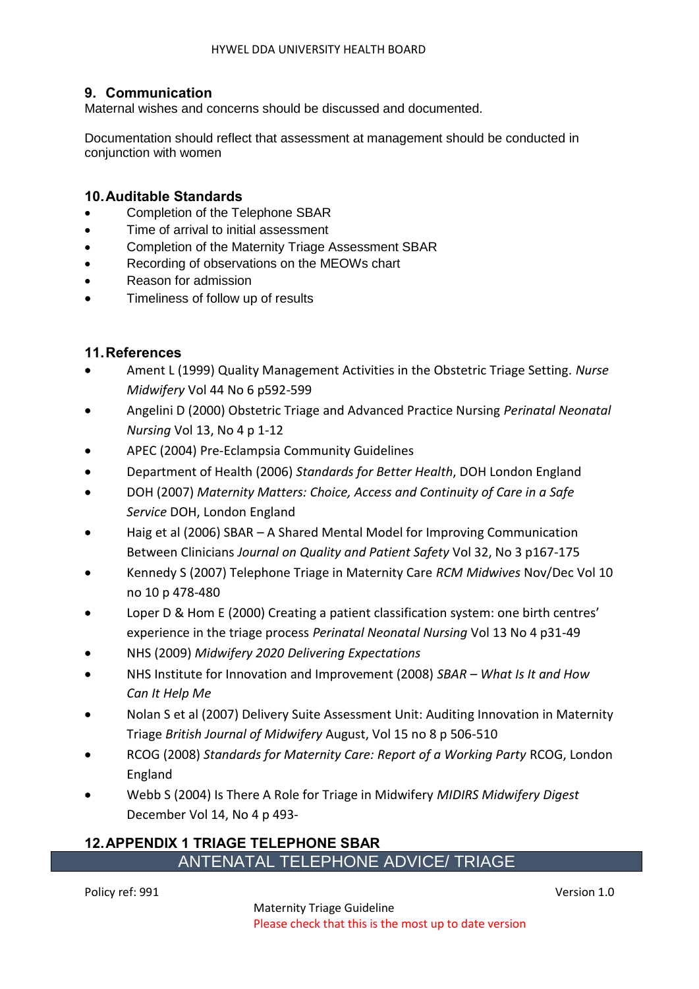#### <span id="page-6-0"></span>**9. Communication**

Maternal wishes and concerns should be discussed and documented.

Documentation should reflect that assessment at management should be conducted in conjunction with women

#### <span id="page-6-1"></span>**10.Auditable Standards**

- Completion of the Telephone SBAR
- Time of arrival to initial assessment
- Completion of the Maternity Triage Assessment SBAR
- Recording of observations on the MEOWs chart
- Reason for admission
- Timeliness of follow up of results

#### <span id="page-6-2"></span>**11.References**

- Ament L (1999) Quality Management Activities in the Obstetric Triage Setting. *Nurse Midwifery* Vol 44 No 6 p592-599
- Angelini D (2000) Obstetric Triage and Advanced Practice Nursing *Perinatal Neonatal Nursing* Vol 13, No 4 p 1-12
- APEC (2004) Pre-Eclampsia Community Guidelines
- Department of Health (2006) *Standards for Better Health*, DOH London England
- DOH (2007) *Maternity Matters: Choice, Access and Continuity of Care in a Safe Service* DOH, London England
- Haig et al (2006) SBAR A Shared Mental Model for Improving Communication Between Clinicians *Journal on Quality and Patient Safety* Vol 32, No 3 p167-175
- Kennedy S (2007) Telephone Triage in Maternity Care *RCM Midwives* Nov/Dec Vol 10 no 10 p 478-480
- Loper D & Hom E (2000) Creating a patient classification system: one birth centres' experience in the triage process *Perinatal Neonatal Nursing* Vol 13 No 4 p31-49
- NHS (2009) *Midwifery 2020 Delivering Expectations*
- NHS Institute for Innovation and Improvement (2008) *SBAR – What Is It and How Can It Help Me*
- Nolan S et al (2007) Delivery Suite Assessment Unit: Auditing Innovation in Maternity Triage *British Journal of Midwifery* August, Vol 15 no 8 p 506-510
- RCOG (2008) *Standards for Maternity Care: Report of a Working Party* RCOG, London England
- Webb S (2004) Is There A Role for Triage in Midwifery *MIDIRS Midwifery Digest* December Vol 14, No 4 p 493-

#### <span id="page-6-3"></span>**12.APPENDIX 1 TRIAGE TELEPHONE SBAR** ANTENATAL TELEPHONE ADVICE/ TRIAGE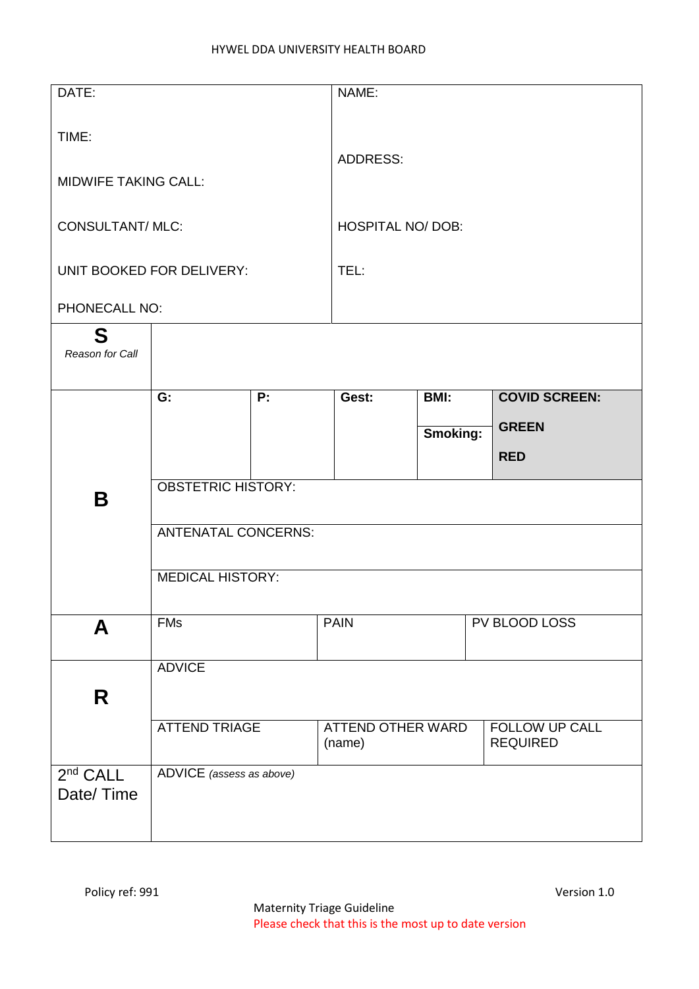| DATE:                       |                            |                  | NAME:                              |                                   |                      |  |
|-----------------------------|----------------------------|------------------|------------------------------------|-----------------------------------|----------------------|--|
|                             |                            |                  |                                    |                                   |                      |  |
| TIME:                       |                            |                  | <b>ADDRESS:</b>                    |                                   |                      |  |
| <b>MIDWIFE TAKING CALL:</b> |                            |                  |                                    |                                   |                      |  |
| <b>CONSULTANT/ MLC:</b>     |                            |                  | <b>HOSPITAL NO/ DOB:</b>           |                                   |                      |  |
|                             | UNIT BOOKED FOR DELIVERY:  |                  | TEL:                               |                                   |                      |  |
| PHONECALL NO:               |                            |                  |                                    |                                   |                      |  |
| S<br>Reason for Call        |                            |                  |                                    |                                   |                      |  |
|                             | G:                         | $\overline{P}$ : | Gest:                              | BMI:                              | <b>COVID SCREEN:</b> |  |
|                             |                            |                  |                                    |                                   | <b>GREEN</b>         |  |
|                             |                            |                  |                                    | <b>Smoking:</b>                   |                      |  |
|                             |                            |                  |                                    |                                   | <b>RED</b>           |  |
|                             | <b>OBSTETRIC HISTORY:</b>  |                  |                                    |                                   |                      |  |
| B                           |                            |                  |                                    |                                   |                      |  |
|                             | <b>ANTENATAL CONCERNS:</b> |                  |                                    |                                   |                      |  |
|                             |                            |                  |                                    |                                   |                      |  |
|                             | <b>MEDICAL HISTORY:</b>    |                  |                                    |                                   |                      |  |
| A                           | <b>FMs</b>                 |                  | <b>PAIN</b>                        |                                   | PV BLOOD LOSS        |  |
|                             | <b>ADVICE</b>              |                  |                                    |                                   |                      |  |
| R                           |                            |                  |                                    |                                   |                      |  |
|                             | <b>ATTEND TRIAGE</b>       |                  | <b>ATTEND OTHER WARD</b><br>(name) | FOLLOW UP CALL<br><b>REQUIRED</b> |                      |  |
| 2 <sup>nd</sup> CALL        | ADVICE (assess as above)   |                  |                                    |                                   |                      |  |
| Date/Time                   |                            |                  |                                    |                                   |                      |  |
|                             |                            |                  |                                    |                                   |                      |  |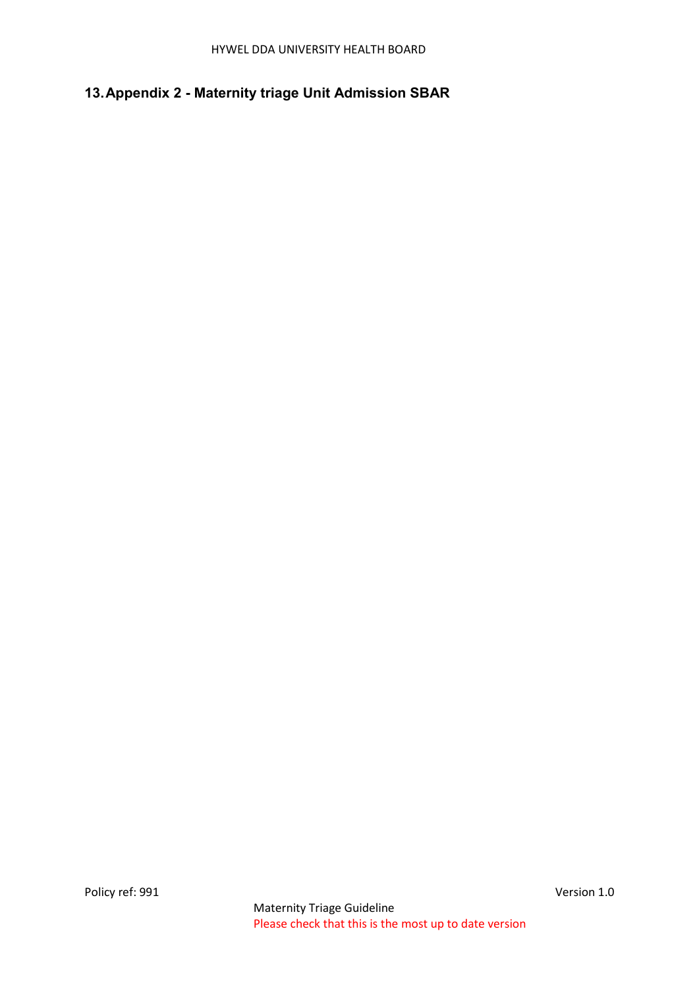# <span id="page-8-0"></span>**13.Appendix 2 - Maternity triage Unit Admission SBAR**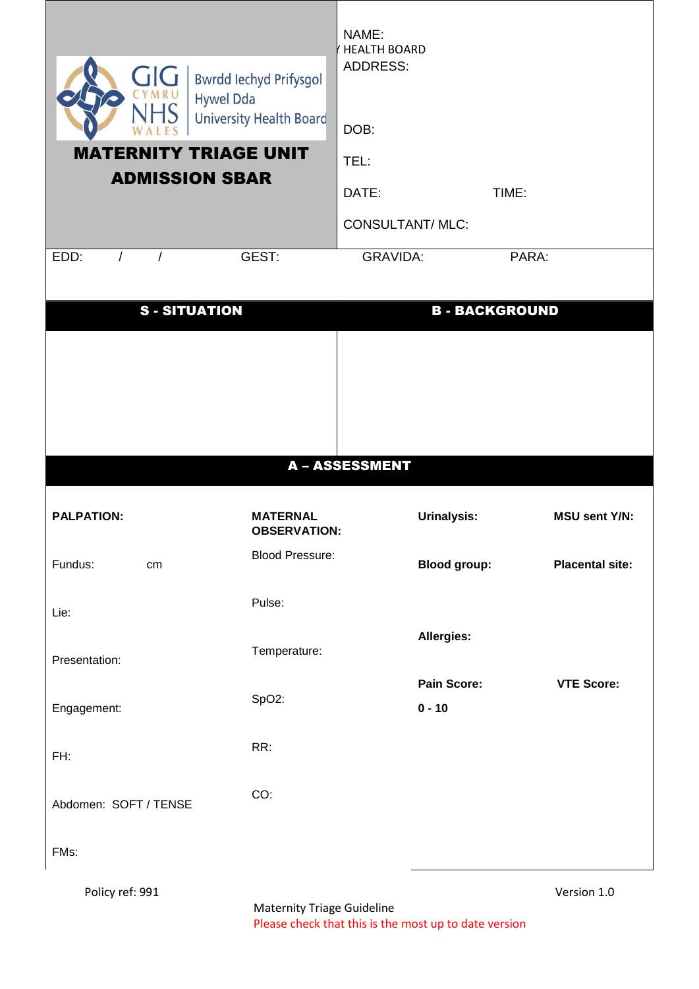| GIG<br>CYMRL<br><b>Hywel Dda</b><br><b>MATERNITY TRIAGE UNIT</b><br><b>ADMISSION SBAR</b><br>EDD:<br>$\prime$ | <b>Bwrdd lechyd Prifysgol</b><br><b>University Health Board</b><br>GEST: | NAME:<br><b>HEALTH BOARD</b><br><b>ADDRESS:</b><br>DOB:<br>TEL:<br>DATE:<br><b>CONSULTANT/ MLC:</b><br><b>GRAVIDA:</b> |                                | TIME:<br>PARA:        |                        |
|---------------------------------------------------------------------------------------------------------------|--------------------------------------------------------------------------|------------------------------------------------------------------------------------------------------------------------|--------------------------------|-----------------------|------------------------|
| <b>S-SITUATION</b>                                                                                            |                                                                          |                                                                                                                        |                                | <b>B - BACKGROUND</b> |                        |
|                                                                                                               |                                                                          |                                                                                                                        |                                |                       |                        |
|                                                                                                               |                                                                          | <b>A-ASSESSMENT</b>                                                                                                    |                                |                       |                        |
| <b>PALPATION:</b>                                                                                             | <b>MATERNAL</b><br><b>OBSERVATION:</b>                                   |                                                                                                                        | <b>Urinalysis:</b>             |                       | <b>MSU sent Y/N:</b>   |
| Fundus:<br>cm                                                                                                 | <b>Blood Pressure:</b>                                                   |                                                                                                                        | <b>Blood group:</b>            |                       | <b>Placental site:</b> |
| Lie:                                                                                                          | Pulse:                                                                   |                                                                                                                        |                                |                       |                        |
| Presentation:                                                                                                 | Temperature:                                                             |                                                                                                                        | Allergies:                     |                       |                        |
| Engagement:                                                                                                   | SpO2:                                                                    |                                                                                                                        | <b>Pain Score:</b><br>$0 - 10$ |                       | <b>VTE Score:</b>      |
| FH:                                                                                                           | RR:                                                                      |                                                                                                                        |                                |                       |                        |
| Abdomen: SOFT / TENSE                                                                                         | CO:                                                                      |                                                                                                                        |                                |                       |                        |
| FMs:                                                                                                          |                                                                          |                                                                                                                        |                                |                       |                        |
| Policy ref: 991                                                                                               | <b>Maternity Triage Guideline</b>                                        |                                                                                                                        |                                |                       | Version 1.0            |

Please check that this is the most up to date version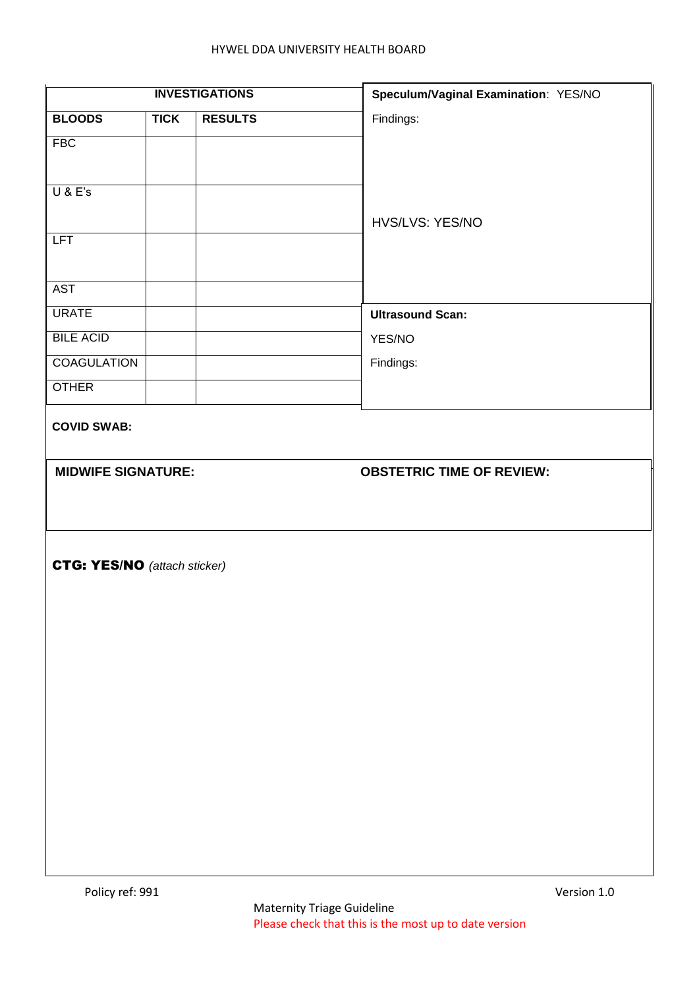|             |                | Speculum/Vaginal Examination: YES/NO                                                      |
|-------------|----------------|-------------------------------------------------------------------------------------------|
| <b>TICK</b> | <b>RESULTS</b> | Findings:                                                                                 |
|             |                |                                                                                           |
|             |                |                                                                                           |
|             |                |                                                                                           |
|             |                | HVS/LVS: YES/NO                                                                           |
|             |                |                                                                                           |
|             |                |                                                                                           |
|             |                |                                                                                           |
|             |                | <b>Ultrasound Scan:</b>                                                                   |
|             |                | YES/NO                                                                                    |
|             |                | Findings:                                                                                 |
|             |                |                                                                                           |
|             |                | <b>OBSTETRIC TIME OF REVIEW:</b>                                                          |
|             |                |                                                                                           |
|             |                | <b>INVESTIGATIONS</b><br><b>MIDWIFE SIGNATURE:</b><br><b>CTG: YES/NO</b> (attach sticker) |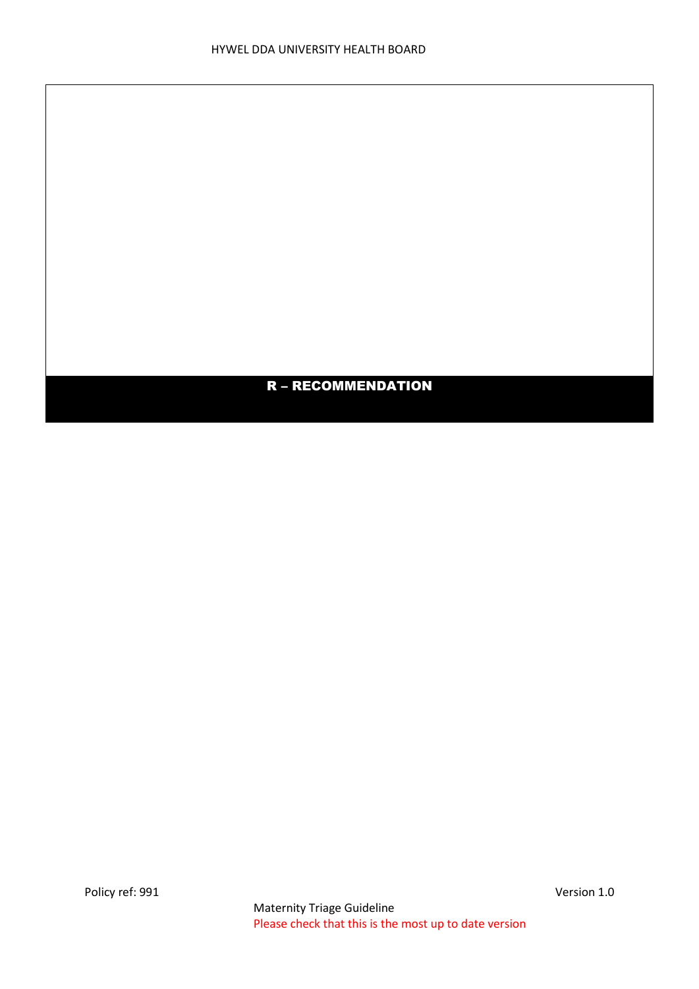# R – RECOMMENDATION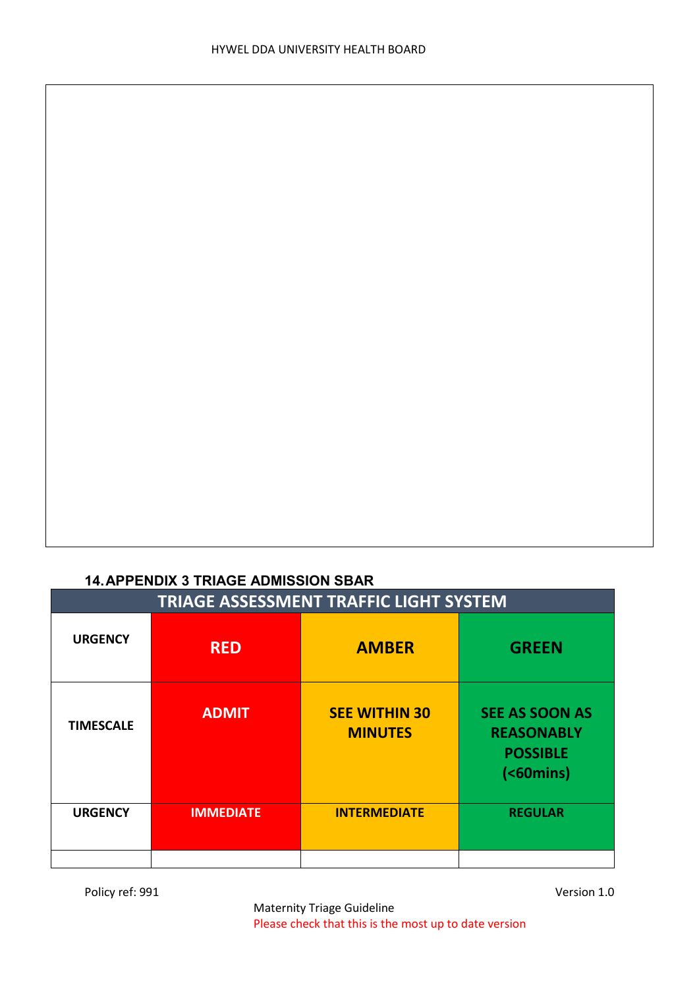### <span id="page-12-0"></span>**14.APPENDIX 3 TRIAGE ADMISSION SBAR**

| <b>TRIAGE ASSESSMENT TRAFFIC LIGHT SYSTEM</b> |                  |                                        |                                                                                      |  |  |
|-----------------------------------------------|------------------|----------------------------------------|--------------------------------------------------------------------------------------|--|--|
| <b>URGENCY</b>                                | <b>RED</b>       | <b>AMBER</b>                           | <b>GREEN</b>                                                                         |  |  |
| <b>TIMESCALE</b>                              | <b>ADMIT</b>     | <b>SEE WITHIN 30</b><br><b>MINUTES</b> | <b>SEE AS SOON AS</b><br><b>REASONABLY</b><br><b>POSSIBLE</b><br>$( 60 \text{mins})$ |  |  |
| <b>URGENCY</b>                                | <b>IMMEDIATE</b> | <b>INTERMEDIATE</b>                    | <b>REGULAR</b>                                                                       |  |  |
|                                               |                  |                                        |                                                                                      |  |  |

Policy ref: 991 Version 1.0

Maternity Triage Guideline Please check that this is the most up to date version